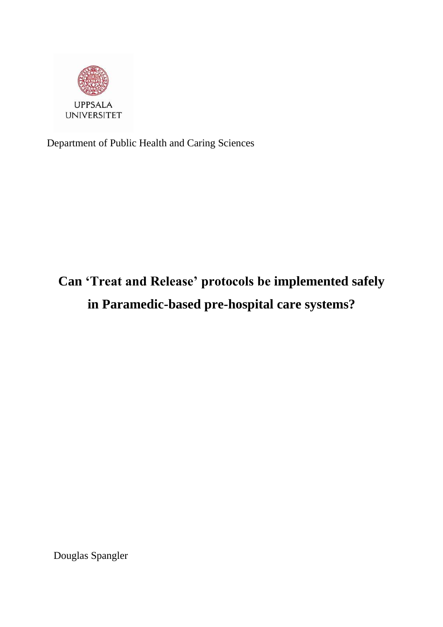

Department of Public Health and Caring Sciences

# **Can 'Treat and Release' protocols be implemented safely in Paramedic-based pre-hospital care systems?**

Douglas Spangler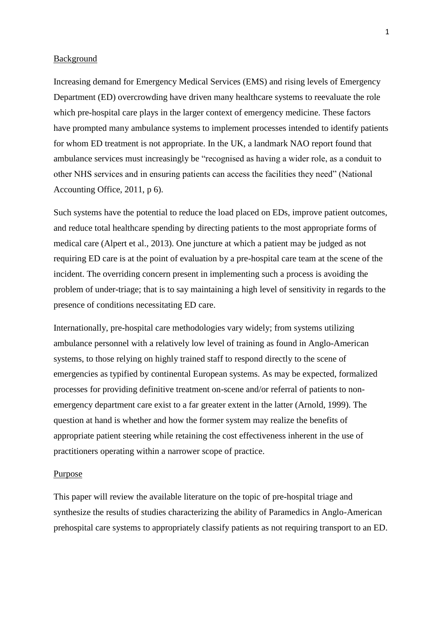## Background

Increasing demand for Emergency Medical Services (EMS) and rising levels of Emergency Department (ED) overcrowding have driven many healthcare systems to reevaluate the role which pre-hospital care plays in the larger context of emergency medicine. These factors have prompted many ambulance systems to implement processes intended to identify patients for whom ED treatment is not appropriate. In the UK, a landmark NAO report found that ambulance services must increasingly be "recognised as having a wider role, as a conduit to other NHS services and in ensuring patients can access the facilities they need" (National Accounting Office, 2011, p 6).

Such systems have the potential to reduce the load placed on EDs, improve patient outcomes, and reduce total healthcare spending by directing patients to the most appropriate forms of medical care (Alpert et al., 2013). One juncture at which a patient may be judged as not requiring ED care is at the point of evaluation by a pre-hospital care team at the scene of the incident. The overriding concern present in implementing such a process is avoiding the problem of under-triage; that is to say maintaining a high level of sensitivity in regards to the presence of conditions necessitating ED care.

Internationally, pre-hospital care methodologies vary widely; from systems utilizing ambulance personnel with a relatively low level of training as found in Anglo-American systems, to those relying on highly trained staff to respond directly to the scene of emergencies as typified by continental European systems. As may be expected, formalized processes for providing definitive treatment on-scene and/or referral of patients to nonemergency department care exist to a far greater extent in the latter (Arnold, 1999). The question at hand is whether and how the former system may realize the benefits of appropriate patient steering while retaining the cost effectiveness inherent in the use of practitioners operating within a narrower scope of practice.

#### Purpose

This paper will review the available literature on the topic of pre-hospital triage and synthesize the results of studies characterizing the ability of Paramedics in Anglo-American prehospital care systems to appropriately classify patients as not requiring transport to an ED.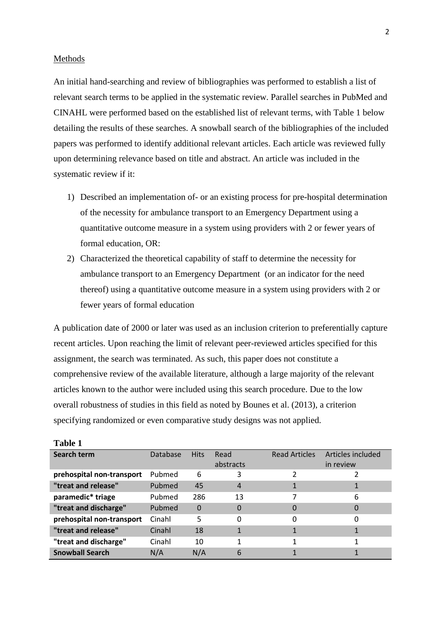## Methods

**Table 1**

An initial hand-searching and review of bibliographies was performed to establish a list of relevant search terms to be applied in the systematic review. Parallel searches in PubMed and CINAHL were performed based on the established list of relevant terms, with Table 1 below detailing the results of these searches. A snowball search of the bibliographies of the included papers was performed to identify additional relevant articles. Each article was reviewed fully upon determining relevance based on title and abstract. An article was included in the systematic review if it:

2

- 1) Described an implementation of- or an existing process for pre-hospital determination of the necessity for ambulance transport to an Emergency Department using a quantitative outcome measure in a system using providers with 2 or fewer years of formal education, OR:
- 2) Characterized the theoretical capability of staff to determine the necessity for ambulance transport to an Emergency Department (or an indicator for the need thereof) using a quantitative outcome measure in a system using providers with 2 or fewer years of formal education

A publication date of 2000 or later was used as an inclusion criterion to preferentially capture recent articles. Upon reaching the limit of relevant peer-reviewed articles specified for this assignment, the search was terminated. As such, this paper does not constitute a comprehensive review of the available literature, although a large majority of the relevant articles known to the author were included using this search procedure. Due to the low overall robustness of studies in this field as noted by Bounes et al. (2013), a criterion specifying randomized or even comparative study designs was not applied.

| танн т                    |          |             |                   |                      |                                |
|---------------------------|----------|-------------|-------------------|----------------------|--------------------------------|
| Search term               | Database | <b>Hits</b> | Read<br>abstracts | <b>Read Articles</b> | Articles included<br>in review |
| prehospital non-transport | Pubmed   | 6           | 3                 |                      |                                |
| "treat and release"       | Pubmed   | 45          | $\overline{4}$    |                      |                                |
| paramedic* triage         | Pubmed   | 286         | 13                |                      | 6                              |
| "treat and discharge"     | Pubmed   | $\Omega$    | 0                 | 0                    | $\Omega$                       |
| prehospital non-transport | Cinahl   | 5           | 0                 | $\Omega$             | 0                              |
| "treat and release"       | Cinahl   | 18          |                   |                      |                                |
| "treat and discharge"     | Cinahl   | 10          | 1                 |                      |                                |
| <b>Snowball Search</b>    | N/A      | N/A         | 6                 |                      |                                |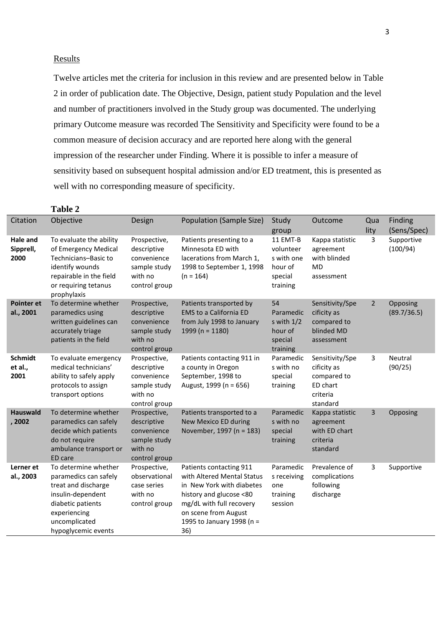## **Results**

Twelve articles met the criteria for inclusion in this review and are presented below in Table 2 in order of publication date. The Objective, Design, patient study Population and the level and number of practitioners involved in the Study group was documented. The underlying primary Outcome measure was recorded The Sensitivity and Specificity were found to be a common measure of decision accuracy and are reported here along with the general impression of the researcher under Finding. Where it is possible to infer a measure of sensitivity based on subsequent hospital admission and/or ED treatment, this is presented as well with no corresponding measure of specificity.

|                                      | <b>Table 2</b>                                                                                                                                                         |                                                                                        |                                                                                                                                                                                                       |                                                                       |                                                                                   |                |                         |
|--------------------------------------|------------------------------------------------------------------------------------------------------------------------------------------------------------------------|----------------------------------------------------------------------------------------|-------------------------------------------------------------------------------------------------------------------------------------------------------------------------------------------------------|-----------------------------------------------------------------------|-----------------------------------------------------------------------------------|----------------|-------------------------|
| Citation                             | Objective                                                                                                                                                              | Design                                                                                 | Population (Sample Size)                                                                                                                                                                              | Study<br>group                                                        | Outcome                                                                           | Qua<br>lity    | Finding<br>(Sens/Spec)  |
| <b>Hale and</b><br>Sipprell,<br>2000 | To evaluate the ability<br>of Emergency Medical<br>Technicians-Basic to<br>identify wounds<br>repairable in the field<br>or requiring tetanus<br>prophylaxis           | Prospective,<br>descriptive<br>convenience<br>sample study<br>with no<br>control group | Patients presenting to a<br>Minnesota ED with<br>lacerations from March 1,<br>1998 to September 1, 1998<br>$(n = 164)$                                                                                | 11 EMT-B<br>volunteer<br>s with one<br>hour of<br>special<br>training | Kappa statistic<br>agreement<br>with blinded<br><b>MD</b><br>assessment           | 3              | Supportive<br>(100/94)  |
| <b>Pointer et</b><br>al., 2001       | To determine whether<br>paramedics using<br>written guidelines can<br>accurately triage<br>patients in the field                                                       | Prospective,<br>descriptive<br>convenience<br>sample study<br>with no<br>control group | Patients transported by<br><b>EMS to a California ED</b><br>from July 1998 to January<br>1999 ( $n = 1180$ )                                                                                          | 54<br>Paramedic<br>s with $1/2$<br>hour of<br>special<br>training     | Sensitivity/Spe<br>cificity as<br>compared to<br>blinded MD<br>assessment         | $\overline{2}$ | Opposing<br>(89.7/36.5) |
| <b>Schmidt</b><br>et al.,<br>2001    | To evaluate emergency<br>medical technicians'<br>ability to safely apply<br>protocols to assign<br>transport options                                                   | Prospective,<br>descriptive<br>convenience<br>sample study<br>with no<br>control group | Patients contacting 911 in<br>a county in Oregon<br>September, 1998 to<br>August, 1999 (n = 656)                                                                                                      | Paramedic<br>s with no<br>special<br>training                         | Sensitivity/Spe<br>cificity as<br>compared to<br>ED chart<br>criteria<br>standard | 3              | Neutral<br>(90/25)      |
| <b>Hauswald</b><br>, 2002            | To determine whether<br>paramedics can safely<br>decide which patients<br>do not require<br>ambulance transport or<br>ED care                                          | Prospective,<br>descriptive<br>convenience<br>sample study<br>with no<br>control group | Patients transported to a<br>New Mexico ED during<br>November, 1997 (n = 183)                                                                                                                         | Paramedic<br>s with no<br>special<br>training                         | Kappa statistic<br>agreement<br>with ED chart<br>criteria<br>standard             | 3              | Opposing                |
| Lerner et<br>al., 2003               | To determine whether<br>paramedics can safely<br>treat and discharge<br>insulin-dependent<br>diabetic patients<br>experiencing<br>uncomplicated<br>hypoglycemic events | Prospective,<br>observational<br>case series<br>with no<br>control group               | Patients contacting 911<br>with Altered Mental Status<br>in New York with diabetes<br>history and glucose <80<br>mg/dL with full recovery<br>on scene from August<br>1995 to January 1998 (n =<br>36) | Paramedic<br>s receiving<br>one<br>training<br>session                | Prevalence of<br>complications<br>following<br>discharge                          | 3              | Supportive              |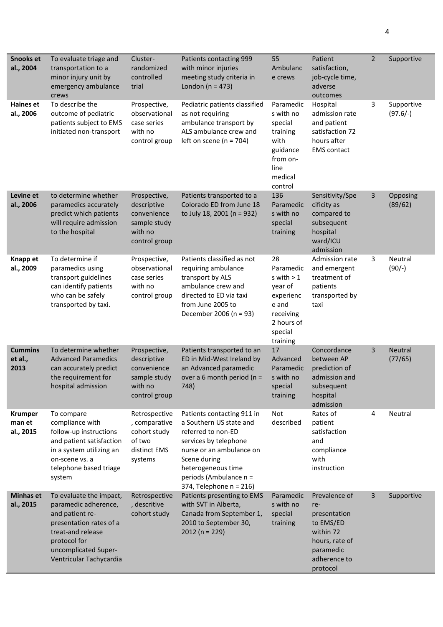| <b>Snooks et</b><br>al., 2004         | To evaluate triage and<br>transportation to a<br>minor injury unit by<br>emergency ambulance<br>crews                                                                                 | Cluster-<br>randomized<br>controlled<br>trial                                          | Patients contacting 999<br>with minor injuries<br>meeting study criteria in<br>London ( $n = 473$ )                                                                                                                         | 55<br>Ambulanc<br>e crews                                                                                          | Patient<br>satisfaction,<br>job-cycle time,<br>adverse<br>outcomes                                                        | $\overline{2}$ | Supportive                |
|---------------------------------------|---------------------------------------------------------------------------------------------------------------------------------------------------------------------------------------|----------------------------------------------------------------------------------------|-----------------------------------------------------------------------------------------------------------------------------------------------------------------------------------------------------------------------------|--------------------------------------------------------------------------------------------------------------------|---------------------------------------------------------------------------------------------------------------------------|----------------|---------------------------|
| <b>Haines et</b><br>al., 2006         | To describe the<br>outcome of pediatric<br>patients subject to EMS<br>initiated non-transport                                                                                         | Prospective,<br>observational<br>case series<br>with no<br>control group               | Pediatric patients classified<br>as not requiring<br>ambulance transport by<br>ALS ambulance crew and<br>left on scene ( $n = 704$ )                                                                                        | Paramedic<br>s with no<br>special<br>training<br>with<br>guidance<br>from on-<br>line<br>medical<br>control        | Hospital<br>admission rate<br>and patient<br>satisfaction 72<br>hours after<br><b>EMS</b> contact                         | 3              | Supportive<br>$(97.6/-)$  |
| Levine et<br>al., 2006                | to determine whether<br>paramedics accurately<br>predict which patients<br>will require admission<br>to the hospital                                                                  | Prospective,<br>descriptive<br>convenience<br>sample study<br>with no<br>control group | Patients transported to a<br>Colorado ED from June 18<br>to July 18, 2001 (n = 932)                                                                                                                                         | 136<br>Paramedic<br>s with no<br>special<br>training                                                               | Sensitivity/Spe<br>cificity as<br>compared to<br>subsequent<br>hospital<br>ward/ICU<br>admission                          | 3              | Opposing<br>(89/62)       |
| Knapp et<br>al., 2009                 | To determine if<br>paramedics using<br>transport guidelines<br>can identify patients<br>who can be safely<br>transported by taxi.                                                     | Prospective,<br>observational<br>case series<br>with no<br>control group               | Patients classified as not<br>requiring ambulance<br>transport by ALS<br>ambulance crew and<br>directed to ED via taxi<br>from June 2005 to<br>December 2006 (n = 93)                                                       | 28<br>Paramedic<br>s with $> 1$<br>year of<br>experienc<br>e and<br>receiving<br>2 hours of<br>special<br>training | Admission rate<br>and emergent<br>treatment of<br>patients<br>transported by<br>taxi                                      | 3              | Neutral<br>$(90/-)$       |
| <b>Cummins</b><br>et al.,<br>2013     | To determine whether<br><b>Advanced Paramedics</b><br>can accurately predict<br>the requirement for<br>hospital admission                                                             | Prospective,<br>descriptive<br>convenience<br>sample study<br>with no<br>control group | Patients transported to an<br>ED in Mid-West Ireland by<br>an Advanced paramedic<br>over a 6 month period ( $n =$<br>748)                                                                                                   | 17<br>Advanced<br>Paramedic<br>s with no<br>special<br>training                                                    | Concordance<br>between AP<br>prediction of<br>admission and<br>subsequent<br>hospital<br>admission                        | 3              | <b>Neutral</b><br>(77/65) |
| <b>Krumper</b><br>man et<br>al., 2015 | To compare<br>compliance with<br>follow-up instructions<br>and patient satisfaction<br>in a system utilizing an<br>on-scene vs. a<br>telephone based triage<br>system                 | Retrospective<br>, comparative<br>cohort study<br>of two<br>distinct EMS<br>systems    | Patients contacting 911 in<br>a Southern US state and<br>referred to non-ED<br>services by telephone<br>nurse or an ambulance on<br>Scene during<br>heterogeneous time<br>periods (Ambulance n =<br>374, Telephone n = 216) | Not<br>described                                                                                                   | Rates of<br>patient<br>satisfaction<br>and<br>compliance<br>with<br>instruction                                           | 4              | Neutral                   |
| <b>Minhas et</b><br>al., 2015         | To evaluate the impact,<br>paramedic adherence,<br>and patient re-<br>presentation rates of a<br>treat-and release<br>protocol for<br>uncomplicated Super-<br>Ventricular Tachycardia | Retrospective<br>, descritive<br>cohort study                                          | Patients presenting to EMS<br>with SVT in Alberta,<br>Canada from September 1,<br>2010 to September 30,<br>$2012 (n = 229)$                                                                                                 | Paramedic<br>s with no<br>special<br>training                                                                      | Prevalence of<br>re-<br>presentation<br>to EMS/ED<br>within 72<br>hours, rate of<br>paramedic<br>adherence to<br>protocol | 3              | Supportive                |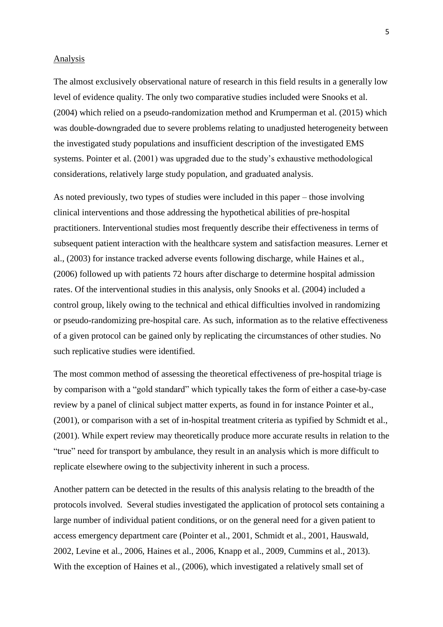#### Analysis

The almost exclusively observational nature of research in this field results in a generally low level of evidence quality. The only two comparative studies included were Snooks et al. (2004) which relied on a pseudo-randomization method and Krumperman et al. (2015) which was double-downgraded due to severe problems relating to unadjusted heterogeneity between the investigated study populations and insufficient description of the investigated EMS systems. Pointer et al. (2001) was upgraded due to the study's exhaustive methodological considerations, relatively large study population, and graduated analysis.

As noted previously, two types of studies were included in this paper – those involving clinical interventions and those addressing the hypothetical abilities of pre-hospital practitioners. Interventional studies most frequently describe their effectiveness in terms of subsequent patient interaction with the healthcare system and satisfaction measures. Lerner et al., (2003) for instance tracked adverse events following discharge, while Haines et al., (2006) followed up with patients 72 hours after discharge to determine hospital admission rates. Of the interventional studies in this analysis, only Snooks et al. (2004) included a control group, likely owing to the technical and ethical difficulties involved in randomizing or pseudo-randomizing pre-hospital care. As such, information as to the relative effectiveness of a given protocol can be gained only by replicating the circumstances of other studies. No such replicative studies were identified.

The most common method of assessing the theoretical effectiveness of pre-hospital triage is by comparison with a "gold standard" which typically takes the form of either a case-by-case review by a panel of clinical subject matter experts, as found in for instance Pointer et al., (2001), or comparison with a set of in-hospital treatment criteria as typified by Schmidt et al., (2001). While expert review may theoretically produce more accurate results in relation to the "true" need for transport by ambulance, they result in an analysis which is more difficult to replicate elsewhere owing to the subjectivity inherent in such a process.

Another pattern can be detected in the results of this analysis relating to the breadth of the protocols involved. Several studies investigated the application of protocol sets containing a large number of individual patient conditions, or on the general need for a given patient to access emergency department care (Pointer et al., 2001, Schmidt et al., 2001, Hauswald, 2002, Levine et al., 2006, Haines et al., 2006, Knapp et al., 2009, Cummins et al., 2013). With the exception of Haines et al., (2006), which investigated a relatively small set of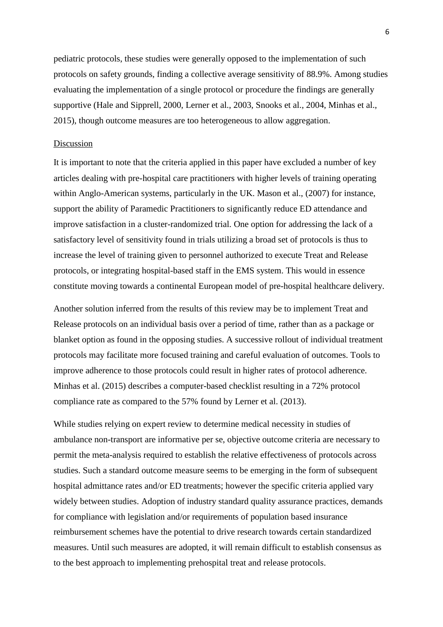pediatric protocols, these studies were generally opposed to the implementation of such protocols on safety grounds, finding a collective average sensitivity of 88.9%. Among studies evaluating the implementation of a single protocol or procedure the findings are generally supportive (Hale and Sipprell, 2000, Lerner et al., 2003, Snooks et al., 2004, Minhas et al., 2015), though outcome measures are too heterogeneous to allow aggregation.

## Discussion

It is important to note that the criteria applied in this paper have excluded a number of key articles dealing with pre-hospital care practitioners with higher levels of training operating within Anglo-American systems, particularly in the UK. Mason et al., (2007) for instance, support the ability of Paramedic Practitioners to significantly reduce ED attendance and improve satisfaction in a cluster-randomized trial. One option for addressing the lack of a satisfactory level of sensitivity found in trials utilizing a broad set of protocols is thus to increase the level of training given to personnel authorized to execute Treat and Release protocols, or integrating hospital-based staff in the EMS system. This would in essence constitute moving towards a continental European model of pre-hospital healthcare delivery.

Another solution inferred from the results of this review may be to implement Treat and Release protocols on an individual basis over a period of time, rather than as a package or blanket option as found in the opposing studies. A successive rollout of individual treatment protocols may facilitate more focused training and careful evaluation of outcomes. Tools to improve adherence to those protocols could result in higher rates of protocol adherence. Minhas et al. (2015) describes a computer-based checklist resulting in a 72% protocol compliance rate as compared to the 57% found by Lerner et al. (2013).

While studies relying on expert review to determine medical necessity in studies of ambulance non-transport are informative per se, objective outcome criteria are necessary to permit the meta-analysis required to establish the relative effectiveness of protocols across studies. Such a standard outcome measure seems to be emerging in the form of subsequent hospital admittance rates and/or ED treatments; however the specific criteria applied vary widely between studies. Adoption of industry standard quality assurance practices, demands for compliance with legislation and/or requirements of population based insurance reimbursement schemes have the potential to drive research towards certain standardized measures. Until such measures are adopted, it will remain difficult to establish consensus as to the best approach to implementing prehospital treat and release protocols.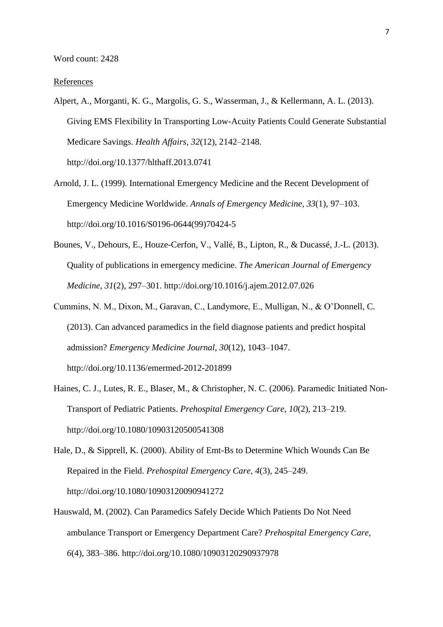Word count: 2428

#### References

- Alpert, A., Morganti, K. G., Margolis, G. S., Wasserman, J., & Kellermann, A. L. (2013). Giving EMS Flexibility In Transporting Low-Acuity Patients Could Generate Substantial Medicare Savings. *Health Affairs*, *32*(12), 2142–2148. http://doi.org/10.1377/hlthaff.2013.0741
- Arnold, J. L. (1999). International Emergency Medicine and the Recent Development of Emergency Medicine Worldwide. *Annals of Emergency Medicine*, *33*(1), 97–103. http://doi.org/10.1016/S0196-0644(99)70424-5
- Bounes, V., Dehours, E., Houze-Cerfon, V., Vallé, B., Lipton, R., & Ducassé, J.-L. (2013). Quality of publications in emergency medicine. *The American Journal of Emergency Medicine*, *31*(2), 297–301. http://doi.org/10.1016/j.ajem.2012.07.026
- Cummins, N. M., Dixon, M., Garavan, C., Landymore, E., Mulligan, N., & O'Donnell, C. (2013). Can advanced paramedics in the field diagnose patients and predict hospital admission? *Emergency Medicine Journal*, *30*(12), 1043–1047. http://doi.org/10.1136/emermed-2012-201899
- Haines, C. J., Lutes, R. E., Blaser, M., & Christopher, N. C. (2006). Paramedic Initiated Non-Transport of Pediatric Patients. *Prehospital Emergency Care*, *10*(2), 213–219. http://doi.org/10.1080/10903120500541308
- Hale, D., & Sipprell, K. (2000). Ability of Emt-Bs to Determine Which Wounds Can Be Repaired in the Field. *Prehospital Emergency Care*, *4*(3), 245–249. http://doi.org/10.1080/10903120090941272
- Hauswald, M. (2002). Can Paramedics Safely Decide Which Patients Do Not Need ambulance Transport or Emergency Department Care? *Prehospital Emergency Care*, *6*(4), 383–386. http://doi.org/10.1080/10903120290937978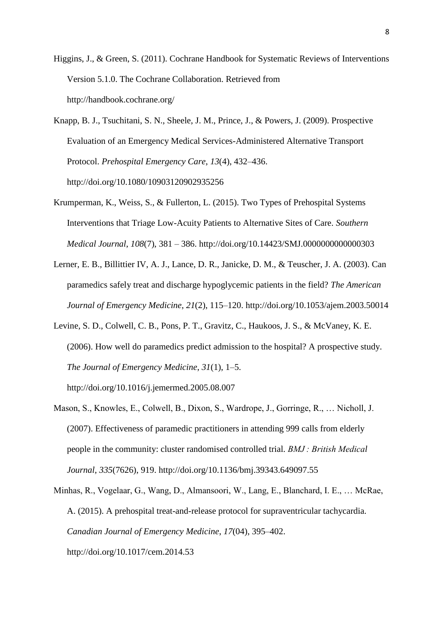Higgins, J., & Green, S. (2011). Cochrane Handbook for Systematic Reviews of Interventions Version 5.1.0. The Cochrane Collaboration. Retrieved from http://handbook.cochrane.org/

- Knapp, B. J., Tsuchitani, S. N., Sheele, J. M., Prince, J., & Powers, J. (2009). Prospective Evaluation of an Emergency Medical Services-Administered Alternative Transport Protocol. *Prehospital Emergency Care*, *13*(4), 432–436. http://doi.org/10.1080/10903120902935256
- Krumperman, K., Weiss, S., & Fullerton, L. (2015). Two Types of Prehospital Systems Interventions that Triage Low-Acuity Patients to Alternative Sites of Care. *Southern Medical Journal*, *108*(7), 381 – 386. http://doi.org/10.14423/SMJ.0000000000000303
- Lerner, E. B., Billittier IV, A. J., Lance, D. R., Janicke, D. M., & Teuscher, J. A. (2003). Can paramedics safely treat and discharge hypoglycemic patients in the field? *The American Journal of Emergency Medicine*, *21*(2), 115–120. http://doi.org/10.1053/ajem.2003.50014
- Levine, S. D., Colwell, C. B., Pons, P. T., Gravitz, C., Haukoos, J. S., & McVaney, K. E. (2006). How well do paramedics predict admission to the hospital? A prospective study. *The Journal of Emergency Medicine*, *31*(1), 1–5.

http://doi.org/10.1016/j.jemermed.2005.08.007

- Mason, S., Knowles, E., Colwell, B., Dixon, S., Wardrope, J., Gorringe, R., … Nicholl, J. (2007). Effectiveness of paramedic practitioners in attending 999 calls from elderly people in the community: cluster randomised controlled trial. *BMJ : British Medical Journal*, *335*(7626), 919. http://doi.org/10.1136/bmj.39343.649097.55
- Minhas, R., Vogelaar, G., Wang, D., Almansoori, W., Lang, E., Blanchard, I. E., … McRae, A. (2015). A prehospital treat-and-release protocol for supraventricular tachycardia. *Canadian Journal of Emergency Medicine*, *17*(04), 395–402. http://doi.org/10.1017/cem.2014.53